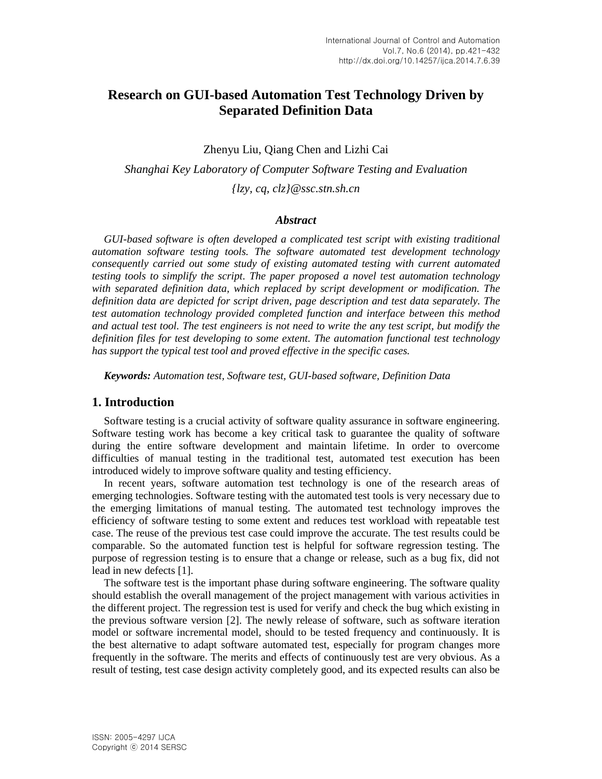# **Research on GUI-based Automation Test Technology Driven by Separated Definition Data**

Zhenyu Liu, Qiang Chen and Lizhi Cai

*Shanghai Key Laboratory of Computer Software Testing and Evaluation {lzy, cq, clz}@ssc.stn.sh.cn*

#### *Abstract*

*GUI-based software is often developed a complicated test script with existing traditional automation software testing tools. The software automated test development technology consequently carried out some study of existing automated testing with current automated testing tools to simplify the script. The paper proposed a novel test automation technology with separated definition data, which replaced by script development or modification. The definition data are depicted for script driven, page description and test data separately. The test automation technology provided completed function and interface between this method and actual test tool. The test engineers is not need to write the any test script, but modify the definition files for test developing to some extent. The automation functional test technology has support the typical test tool and proved effective in the specific cases.*

*Keywords: Automation test, Software test, GUI-based software, Definition Data*

## **1. Introduction**

Software testing is a crucial activity of software quality assurance in software engineering. Software testing work has become a key critical task to guarantee the quality of software during the entire software development and maintain lifetime. In order to overcome difficulties of manual testing in the traditional test, automated test execution has been introduced widely to improve software quality and testing efficiency.

In recent years, software automation test technology is one of the research areas of emerging technologies. Software testing with the automated test tools is very necessary due to the emerging limitations of manual testing. The automated test technology improves the efficiency of software testing to some extent and reduces test workload with repeatable test case. The reuse of the previous test case could improve the accurate. The test results could be comparable. So the automated function test is helpful for software regression testing. The purpose of regression testing is to ensure that a change or release, such as a bug fix, did not lead in new defects [1].

The software test is the important phase during software engineering. The software quality should establish the overall management of the project management with various activities in the different project. The regression test is used for verify and check the bug which existing in the previous software version [2]. The newly release of software, such as software iteration model or software incremental model, should to be tested frequency and continuously. It is the best alternative to adapt software automated test, especially for program changes more frequently in the software. The merits and effects of continuously test are very obvious. As a result of testing, test case design activity completely good, and its expected results can also be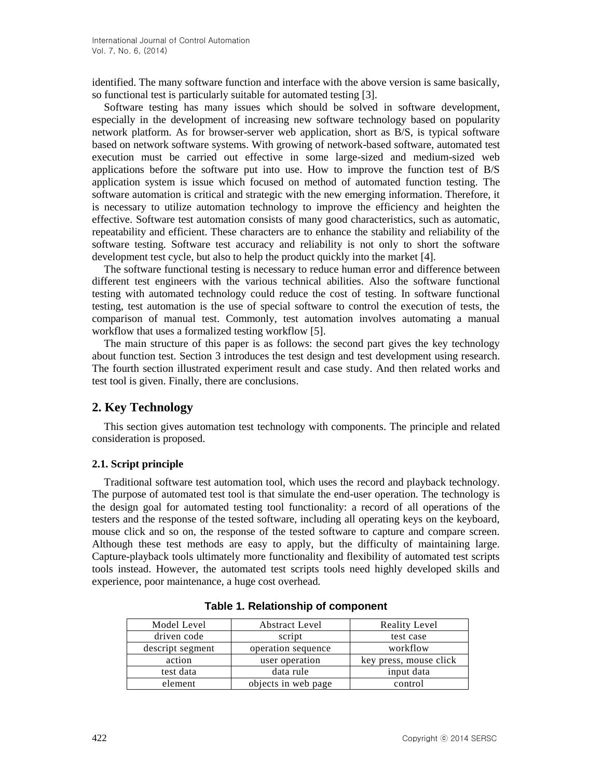identified. The many software function and interface with the above version is same basically, so functional test is particularly suitable for automated testing [3].

Software testing has many issues which should be solved in software development, especially in the development of increasing new software technology based on popularity network platform. As for browser-server web application, short as B/S, is typical software based on network software systems. With growing of network-based software, automated test execution must be carried out effective in some large-sized and medium-sized web applications before the software put into use. How to improve the function test of B/S application system is issue which focused on method of automated function testing. The software automation is critical and strategic with the new emerging information. Therefore, it is necessary to utilize automation technology to improve the efficiency and heighten the effective. Software test automation consists of many good characteristics, such as automatic, repeatability and efficient. These characters are to enhance the stability and reliability of the software testing. Software test accuracy and reliability is not only to short the software development test cycle, but also to help the product quickly into the market [4].

The software functional testing is necessary to reduce human error and difference between different test engineers with the various technical abilities. Also the software functional testing with automated technology could reduce the cost of testing. In software functional testing, test automation is the use of special software to control the execution of tests, the comparison of manual test. Commonly, test automation involves automating a manual workflow that uses a formalized testing workflow [5].

The main structure of this paper is as follows: the second part gives the key technology about function test. Section 3 introduces the test design and test development using research. The fourth section illustrated experiment result and case study. And then related works and test tool is given. Finally, there are conclusions.

## **2. Key Technology**

This section gives automation test technology with components. The principle and related consideration is proposed.

#### **2.1. Script principle**

Traditional software test automation tool, which uses the record and playback technology. The purpose of automated test tool is that simulate the end-user operation. The technology is the design goal for automated testing tool functionality: a record of all operations of the testers and the response of the tested software, including all operating keys on the keyboard, mouse click and so on, the response of the tested software to capture and compare screen. Although these test methods are easy to apply, but the difficulty of maintaining large. Capture-playback tools ultimately more functionality and flexibility of automated test scripts tools instead. However, the automated test scripts tools need highly developed skills and experience, poor maintenance, a huge cost overhead.

| Model Level      | Abstract Level<br><b>Reality Level</b> |                        |  |
|------------------|----------------------------------------|------------------------|--|
| driven code      | script                                 | test case              |  |
| descript segment | operation sequence                     | workflow               |  |
| action           | user operation                         | key press, mouse click |  |
| test data        | data rule                              | input data             |  |
| element          | objects in web page                    | control                |  |

|  |  |  | Table 1. Relationship of component |
|--|--|--|------------------------------------|
|--|--|--|------------------------------------|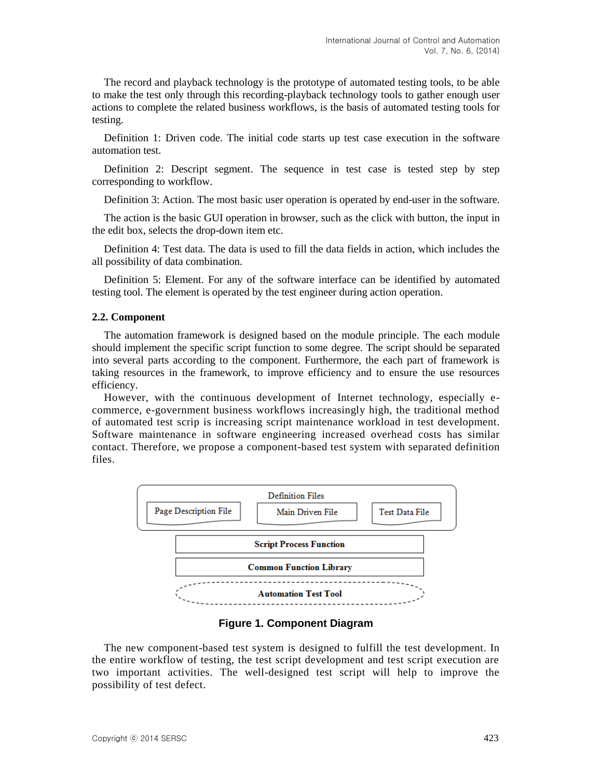The record and playback technology is the prototype of automated testing tools, to be able to make the test only through this recording-playback technology tools to gather enough user actions to complete the related business workflows, is the basis of automated testing tools for testing.

Definition 1: Driven code. The initial code starts up test case execution in the software automation test.

Definition 2: Descript segment. The sequence in test case is tested step by step corresponding to workflow.

Definition 3: Action. The most basic user operation is operated by end-user in the software.

The action is the basic GUI operation in browser, such as the click with button, the input in the edit box, selects the drop-down item etc.

Definition 4: Test data. The data is used to fill the data fields in action, which includes the all possibility of data combination.

Definition 5: Element. For any of the software interface can be identified by automated testing tool. The element is operated by the test engineer during action operation.

#### **2.2. Component**

The automation framework is designed based on the module principle. The each module should implement the specific script function to some degree. The script should be separated into several parts according to the component. Furthermore, the each part of framework is taking resources in the framework, to improve efficiency and to ensure the use resources efficiency.

However, with the continuous development of Internet technology, especially ecommerce, e-government business workflows increasingly high, the traditional method of automated test scrip is increasing script maintenance workload in test development. Software maintenance in software engineering increased overhead costs has similar contact. Therefore, we propose a component-based test system with separated definition files.



**Figure 1. Component Diagram**

The new component-based test system is designed to fulfill the test development. In the entire workflow of testing, the test script development and test script execution are two important activities. The well-designed test script will help to improve the possibility of test defect.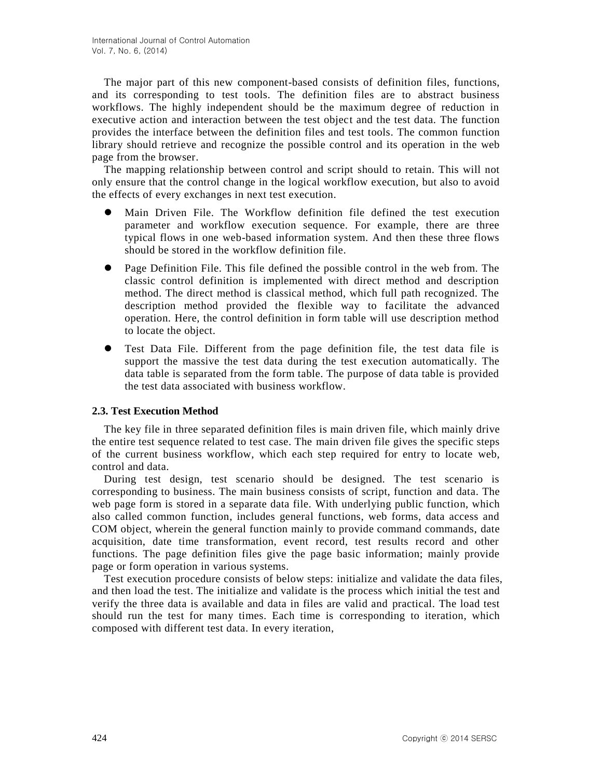The major part of this new component-based consists of definition files, functions, and its corresponding to test tools. The definition files are to abstract business workflows. The highly independent should be the maximum degree of reduction in executive action and interaction between the test object and the test data. The function provides the interface between the definition files and test tools. The common function library should retrieve and recognize the possible control and its operation in the web page from the browser.

The mapping relationship between control and script should to retain. This will not only ensure that the control change in the logical workflow execution, but also to avoid the effects of every exchanges in next test execution.

- Main Driven File. The Workflow definition file defined the test execution parameter and workflow execution sequence. For example, there are three typical flows in one web-based information system. And then these three flows should be stored in the workflow definition file.
- Page Definition File. This file defined the possible control in the web from. The classic control definition is implemented with direct method and description method. The direct method is classical method, which full path recognized. The description method provided the flexible way to facilitate the advanced operation. Here, the control definition in form table will use description method to locate the object.
- Test Data File. Different from the page definition file, the test data file is support the massive the test data during the test execution automatically. The data table is separated from the form table. The purpose of data table is provided the test data associated with business workflow.

## **2.3. Test Execution Method**

The key file in three separated definition files is main driven file, which mainly drive the entire test sequence related to test case. The main driven file gives the specific steps of the current business workflow, which each step required for entry to locate web, control and data.

During test design, test scenario should be designed. The test scenario is corresponding to business. The main business consists of script, function and data. The web page form is stored in a separate data file. With underlying public function, which also called common function, includes general functions, web forms, data access and COM object, wherein the general function mainly to provide command commands, date acquisition, date time transformation, event record, test results record and other functions. The page definition files give the page basic information; mainly provide page or form operation in various systems.

Test execution procedure consists of below steps: initialize and validate the data files, and then load the test. The initialize and validate is the process which initial the test and verify the three data is available and data in files are valid and practical. The load test should run the test for many times. Each time is corresponding to iteration, which composed with different test data. In every iteration,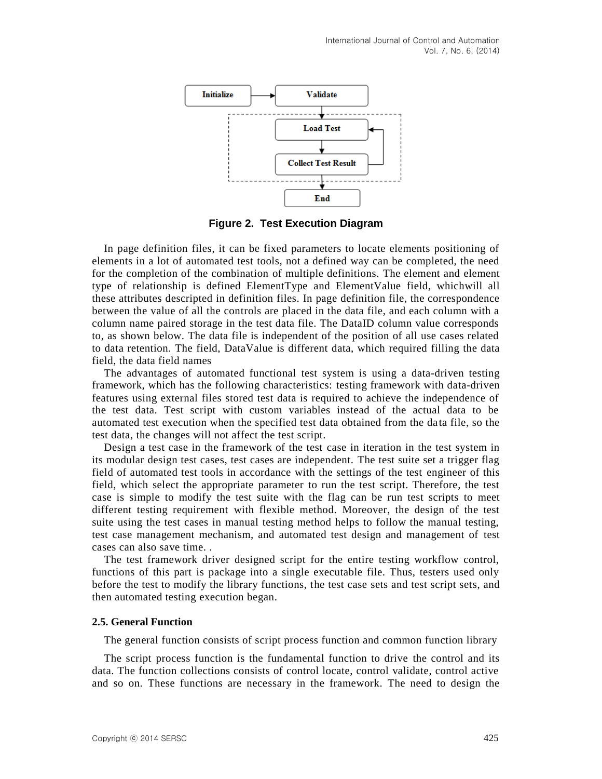

**Figure 2. Test Execution Diagram**

In page definition files, it can be fixed parameters to locate elements positioning of elements in a lot of automated test tools, not a defined way can be completed, the need for the completion of the combination of multiple definitions. The element and element type of relationship is defined ElementType and ElementValue field, whichwill all these attributes descripted in definition files. In page definition file, the correspondence between the value of all the controls are placed in the data file, and each column with a column name paired storage in the test data file. The DataID column value corresponds to, as shown below. The data file is independent of the position of all use cases related to data retention. The field, DataValue is different data, which required filling the data field, the data field names

The advantages of automated functional test system is using a data-driven testing framework, which has the following characteristics: testing framework with data-driven features using external files stored test data is required to achieve the independence of the test data. Test script with custom variables instead of the actual data to be automated test execution when the specified test data obtained from the data file, so the test data, the changes will not affect the test script.

Design a test case in the framework of the test case in iteration in the test system in its modular design test cases, test cases are independent. The test suite set a trigger flag field of automated test tools in accordance with the settings of the test engineer of this field, which select the appropriate parameter to run the test script. Therefore, the test case is simple to modify the test suite with the flag can be run test scripts to meet different testing requirement with flexible method. Moreover, the design of the test suite using the test cases in manual testing method helps to follow the manual testing, test case management mechanism, and automated test design and management of test cases can also save time. .

The test framework driver designed script for the entire testing workflow control, functions of this part is package into a single executable file. Thus, testers used only before the test to modify the library functions, the test case sets and test script sets, and then automated testing execution began.

## **2.5. General Function**

The general function consists of script process function and common function library

The script process function is the fundamental function to drive the control and its data. The function collections consists of control locate, control validate, control active and so on. These functions are necessary in the framework. The need to design the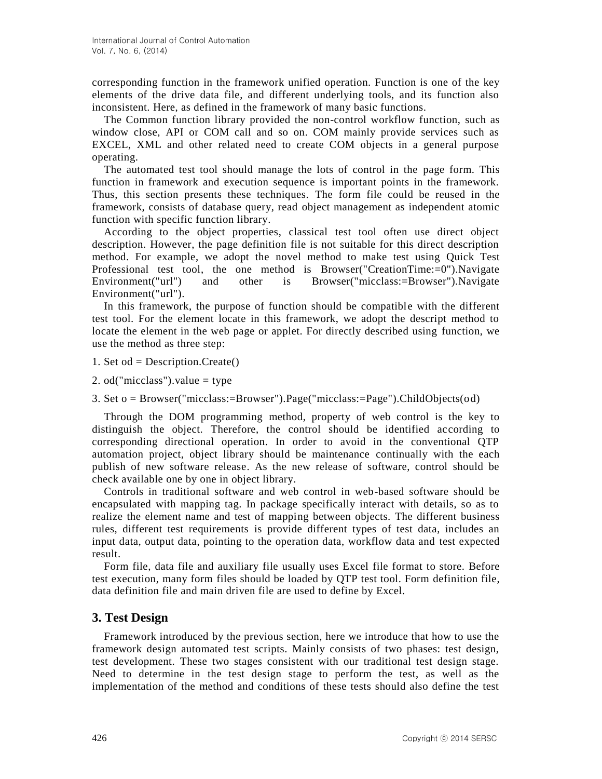corresponding function in the framework unified operation. Function is one of the key elements of the drive data file, and different underlying tools, and its function also inconsistent. Here, as defined in the framework of many basic functions.

The Common function library provided the non-control workflow function, such as window close, API or COM call and so on. COM mainly provide services such as EXCEL, XML and other related need to create COM objects in a general purpose operating.

The automated test tool should manage the lots of control in the page form. This function in framework and execution sequence is important points in the framework. Thus, this section presents these techniques. The form file could be reused in the framework, consists of database query, read object management as independent atomic function with specific function library.

According to the object properties, classical test tool often use direct object description. However, the page definition file is not suitable for this direct description method. For example, we adopt the novel method to make test using Quick Test Professional test tool, the one method is Browser("CreationTime:=0").Navigate Environment("url") and other is Browser("micclass:=Browser").Navigate Environment("url").

In this framework, the purpose of function should be compatible with the different test tool. For the element locate in this framework, we adopt the descript method to locate the element in the web page or applet. For directly described using function, we use the method as three step:

- 1. Set od = Description.Create()
- 2. od("micclass").value  $=$  type
- 3. Set o = Browser("micclass:=Browser").Page("micclass:=Page").ChildObjects(od)

Through the DOM programming method, property of web control is the key to distinguish the object. Therefore, the control should be identified according to corresponding directional operation. In order to avoid in the conventional QTP automation project, object library should be maintenance continually with the each publish of new software release. As the new release of software, control should be check available one by one in object library.

Controls in traditional software and web control in web-based software should be encapsulated with mapping tag. In package specifically interact with details, so as to realize the element name and test of mapping between objects. The different business rules, different test requirements is provide different types of test data, includes an input data, output data, pointing to the operation data, workflow data and test expected result.

Form file, data file and auxiliary file usually uses Excel file format to store. Before test execution, many form files should be loaded by QTP test tool. Form definition file, data definition file and main driven file are used to define by Excel.

## **3. Test Design**

Framework introduced by the previous section, here we introduce that how to use the framework design automated test scripts. Mainly consists of two phases: test design, test development. These two stages consistent with our traditional test design stage. Need to determine in the test design stage to perform the test, as well as the implementation of the method and conditions of these tests should also define the test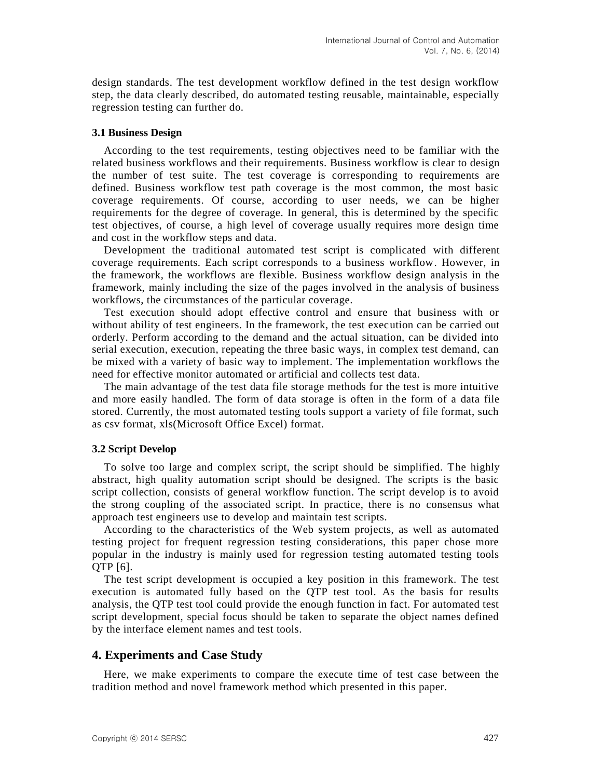design standards. The test development workflow defined in the test design workflow step, the data clearly described, do automated testing reusable, maintainable, especially regression testing can further do.

#### **3.1 Business Design**

According to the test requirements, testing objectives need to be familiar with the related business workflows and their requirements. Business workflow is clear to design the number of test suite. The test coverage is corresponding to requirements are defined. Business workflow test path coverage is the most common, the most basic coverage requirements. Of course, according to user needs, we can be higher requirements for the degree of coverage. In general, this is determined by the specific test objectives, of course, a high level of coverage usually requires more design time and cost in the workflow steps and data.

Development the traditional automated test script is complicated with different coverage requirements. Each script corresponds to a business workflow. However, in the framework, the workflows are flexible. Business workflow design analysis in the framework, mainly including the size of the pages involved in the analysis of business workflows, the circumstances of the particular coverage.

Test execution should adopt effective control and ensure that business with or without ability of test engineers. In the framework, the test execution can be carried out orderly. Perform according to the demand and the actual situation, can be divided into serial execution, execution, repeating the three basic ways, in complex test demand, can be mixed with a variety of basic way to implement. The implementation workflows the need for effective monitor automated or artificial and collects test data.

The main advantage of the test data file storage methods for the test is more intuitive and more easily handled. The form of data storage is often in the form of a data file stored. Currently, the most automated testing tools support a variety of file format, such as csv format, xls(Microsoft Office Excel) format.

#### **3.2 Script Develop**

To solve too large and complex script, the script should be simplified. The highly abstract, high quality automation script should be designed. The scripts is the basic script collection, consists of general workflow function. The script develop is to avoid the strong coupling of the associated script. In practice, there is no consensus what approach test engineers use to develop and maintain test scripts.

According to the characteristics of the Web system projects, as well as automated testing project for frequent regression testing considerations, this paper chose more popular in the industry is mainly used for regression testing automated testing tools QTP [6].

The test script development is occupied a key position in this framework. The test execution is automated fully based on the QTP test tool. As the basis for results analysis, the QTP test tool could provide the enough function in fact. For automated test script development, special focus should be taken to separate the object names defined by the interface element names and test tools.

## **4. Experiments and Case Study**

Here, we make experiments to compare the execute time of test case between the tradition method and novel framework method which presented in this paper.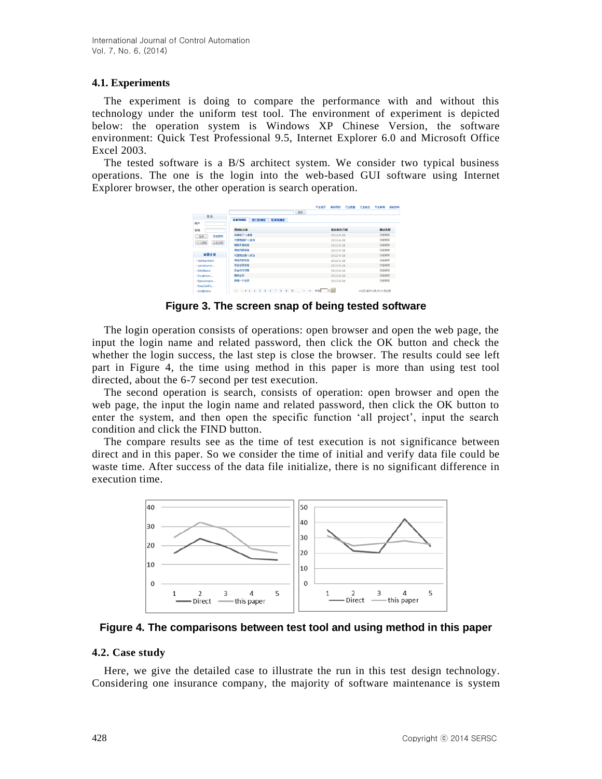## **4.1. Experiments**

The experiment is doing to compare the performance with and without this technology under the uniform test tool. The environment of experiment is depicted below: the operation system is Windows XP Chinese Version, the software environment: Quick Test Professional 9.5, Internet Explorer 6.0 and Microsoft Office Excel 2003.

The tested software is a B/S architect system. We consider two typical business operations. The one is the login into the web-based GUI software using Internet Explorer browser, the other operation is search operation.

|              |                                   | 平台首页     | あけれる            | 行业竞争 | 行业动态 | 平台新闻                | 利成资料 |
|--------------|-----------------------------------|----------|-----------------|------|------|---------------------|------|
|              |                                   | 投票       |                 |      |      |                     |      |
| 至录           | 最新用例签<br>经典用例签<br>热门用例名           |          |                 |      |      |                     |      |
| 用户           |                                   |          |                 |      |      |                     |      |
| 密码           | 用例窗名称                             |          | 開日処兼派量          |      |      | 複試美型                |      |
| 忘记忘码<br>显录   | 待事経戸の資産                           |          | $2012 - 9 - 10$ |      |      | 功能测试                |      |
|              | 代理商請評→查询                          |          | 2012-9-10       |      |      | 功能测试                |      |
| 全人连带<br>企业注册 | 彩新页面信息                            |          | $2012 - 9 - 10$ |      |      | 功能函试                |      |
|              | 清洗列表信息                            |          | 2012-9-10       |      |      | 功能测试                |      |
| 加盟企业         | 代理商注册->添加                         |          | $2012 - 9 - 10$ |      |      | 功能阅试                |      |
| - Uphogymom  | 清洗外表信息                            |          | 2012-9-10       |      |      | 功能测试                |      |
| · cyncAnyncc | 导出记录信息                            |          | $2012 - 9 - 10$ |      |      | 功能测试                |      |
| · DifeSkemi  | 资金收付加限                            |          | $2012 - 9 - 10$ |      |      | 功能函収                |      |
| · Insalttoin | 摄除合员                              |          | $2012 - 9 - 10$ |      |      | 功能函试                |      |
| · Epispempin | 新婚一个会员                            |          | 2012-9-10       |      |      | 功能测试                |      |
| - ErepCellFu |                                   |          |                 |      |      |                     |      |
| · Gooliprow  | $8 \t3 \t10$<br>6<br>$\mathbf{r}$ | 时到1 页 00 |                 |      |      | 1.76页,每页10项,共751项记录 |      |

**Figure 3. The screen snap of being tested software**

The login operation consists of operations: open browser and open the web page, the input the login name and related password, then click the OK button and check the whether the login success, the last step is close the browser. The results could see left part in Figure 4, the time using method in this paper is more than using test tool directed, about the 6-7 second per test execution.

The second operation is search, consists of operation: open browser and open the web page, the input the login name and related password, then click the OK button to enter the system, and then open the specific function 'all project', input the search condition and click the FIND button.

The compare results see as the time of test execution is not significance between direct and in this paper. So we consider the time of initial and verify data file could be waste time. After success of the data file initialize, there is no significant difference in execution time.



**Figure 4. The comparisons between test tool and using method in this paper**

## **4.2. Case study**

Here, we give the detailed case to illustrate the run in this test design technology. Considering one insurance company, the majority of software maintenance is system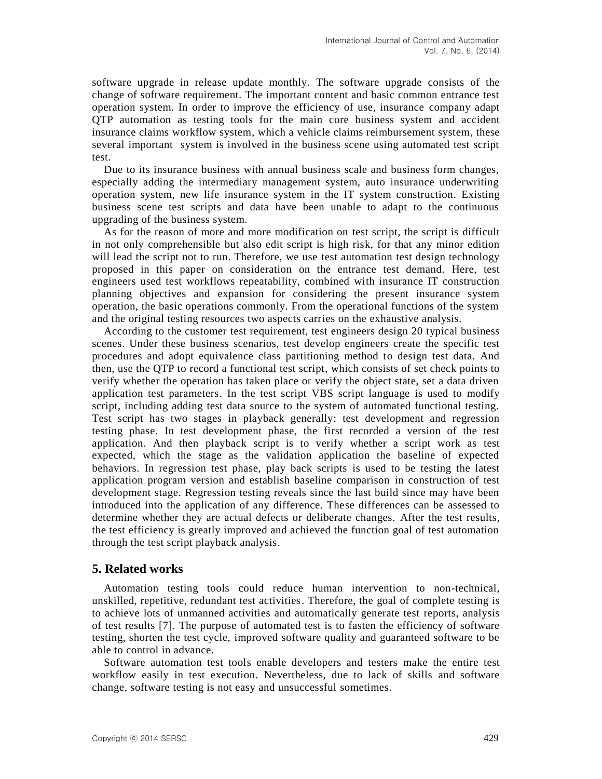software upgrade in release update monthly. The software upgrade consists of the change of software requirement. The important content and basic common entrance test operation system. In order to improve the efficiency of use, insurance company adapt QTP automation as testing tools for the main core business system and accident insurance claims workflow system, which a vehicle claims reimbursement system, these several important system is involved in the business scene using automated test script test.

Due to its insurance business with annual business scale and business form changes, especially adding the intermediary management system, auto insurance underwriting operation system, new life insurance system in the IT system construction. Existing business scene test scripts and data have been unable to adapt to the continuous upgrading of the business system.

As for the reason of more and more modification on test script, the script is difficult in not only comprehensible but also edit script is high risk, for that any minor edition will lead the script not to run. Therefore, we use test automation test design technology proposed in this paper on consideration on the entrance test demand. Here, test engineers used test workflows repeatability, combined with insurance IT construction planning objectives and expansion for considering the present insurance system operation, the basic operations commonly. From the operational functions of the system and the original testing resources two aspects carries on the exhaustive analysis.

According to the customer test requirement, test engineers design 20 typical business scenes. Under these business scenarios, test develop engineers create the specific test procedures and adopt equivalence class partitioning method to design test data. And then, use the QTP to record a functional test script, which consists of set check points to verify whether the operation has taken place or verify the object state, set a data driven application test parameters. In the test script VBS script language is used to modify script, including adding test data source to the system of automated functional testing. Test script has two stages in playback generally: test development and regression testing phase. In test development phase, the first recorded a version of the test application. And then playback script is to verify whether a script work as test expected, which the stage as the validation application the baseline of expected behaviors. In regression test phase, play back scripts is used to be testing the latest application program version and establish baseline comparison in construction of test development stage. Regression testing reveals since the last build since may have been introduced into the application of any difference. These differences can be assessed to determine whether they are actual defects or deliberate changes. After the test results, the test efficiency is greatly improved and achieved the function goal of test automation through the test script playback analysis.

## **5. Related works**

Automation testing tools could reduce human intervention to non-technical, unskilled, repetitive, redundant test activities. Therefore, the goal of complete testing is to achieve lots of unmanned activities and automatically generate test reports, analysis of test results [7]. The purpose of automated test is to fasten the efficiency of software testing, shorten the test cycle, improved software quality and guaranteed software to be able to control in advance.

Software automation test tools enable developers and testers make the entire test workflow easily in test execution. Nevertheless, due to lack of skills and software change, software testing is not easy and unsuccessful sometimes.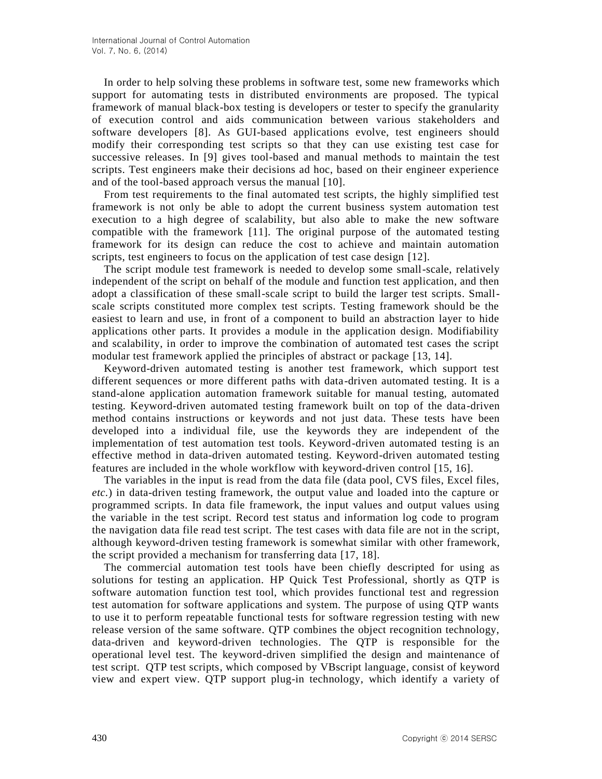In order to help solving these problems in software test, some new frameworks which support for automating tests in distributed environments are proposed. The typical framework of manual black-box testing is developers or tester to specify the granularity of execution control and aids communication between various stakeholders and software developers [8]. As GUI-based applications evolve, test engineers should modify their corresponding test scripts so that they can use existing test case for successive releases. In [9] gives tool-based and manual methods to maintain the test scripts. Test engineers make their decisions ad hoc, based on their engineer experience and of the tool-based approach versus the manual [10].

From test requirements to the final automated test scripts, the highly simplified test framework is not only be able to adopt the current business system automation test execution to a high degree of scalability, but also able to make the new software compatible with the framework [11]. The original purpose of the automated testing framework for its design can reduce the cost to achieve and maintain automation scripts, test engineers to focus on the application of test case design [12].

The script module test framework is needed to develop some small-scale, relatively independent of the script on behalf of the module and function test application, and then adopt a classification of these small-scale script to build the larger test scripts. Smallscale scripts constituted more complex test scripts. Testing framework should be the easiest to learn and use, in front of a component to build an abstraction layer to hide applications other parts. It provides a module in the application design. Modifiability and scalability, in order to improve the combination of automated test cases the script modular test framework applied the principles of abstract or package [13, 14].

Keyword-driven automated testing is another test framework, which support test different sequences or more different paths with data-driven automated testing. It is a stand-alone application automation framework suitable for manual testing, automated testing. Keyword-driven automated testing framework built on top of the data-driven method contains instructions or keywords and not just data. These tests have been developed into a individual file, use the keywords they are independent of the implementation of test automation test tools. Keyword-driven automated testing is an effective method in data-driven automated testing. Keyword-driven automated testing features are included in the whole workflow with keyword-driven control [15, 16].

The variables in the input is read from the data file (data pool, CVS files, Excel files, *etc.*) in data-driven testing framework, the output value and loaded into the capture or programmed scripts. In data file framework, the input values and output values using the variable in the test script. Record test status and information log code to program the navigation data file read test script. The test cases with data file are not in the script, although keyword-driven testing framework is somewhat similar with other framework, the script provided a mechanism for transferring data [17, 18].

The commercial automation test tools have been chiefly descripted for using as solutions for testing an application. HP Quick Test Professional, shortly as QTP is software automation function test tool, which provides functional test and regression test automation for software applications and system. The purpose of using QTP wants to use it to perform repeatable functional tests for software regression testing with new release version of the same software. QTP combines the object recognition technology, data-driven and keyword-driven technologies. The QTP is responsible for the operational level test. The keyword-driven simplified the design and maintenance of test script. QTP test scripts, which composed by VBscript language, consist of keyword view and expert view. QTP support plug-in technology, which identify a variety of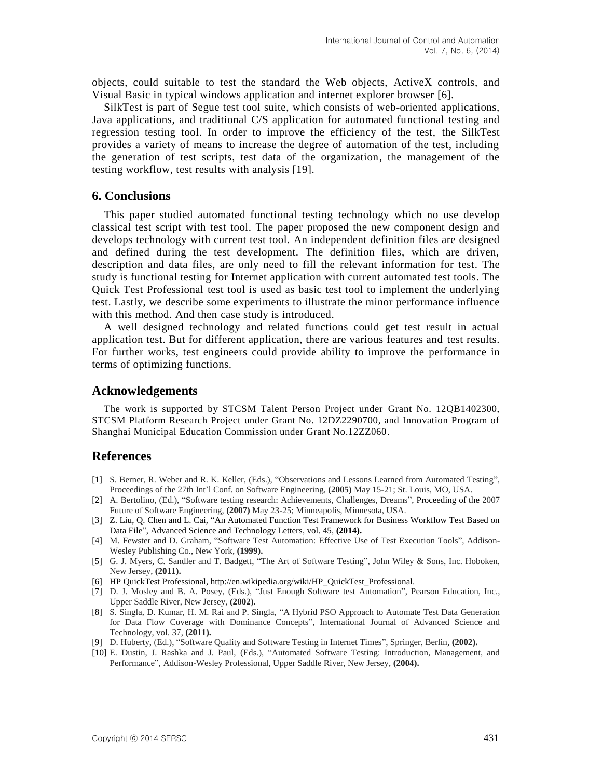objects, could suitable to test the standard the Web objects, ActiveX controls, and Visual Basic in typical windows application and internet explorer browser [6].

SilkTest is part of Segue test tool suite, which consists of web-oriented applications, Java applications, and traditional C/S application for automated functional testing and regression testing tool. In order to improve the efficiency of the test, the SilkTest provides a variety of means to increase the degree of automation of the test, including the generation of test scripts, test data of the organization, the management of the testing workflow, test results with analysis [19].

## **6. Conclusions**

This paper studied automated functional testing technology which no use develop classical test script with test tool. The paper proposed the new component design and develops technology with current test tool. An independent definition files are designed and defined during the test development. The definition files, which are driven, description and data files, are only need to fill the relevant information for test. The study is functional testing for Internet application with current automated test tools. The Quick Test Professional test tool is used as basic test tool to implement the underlying test. Lastly, we describe some experiments to illustrate the minor performance influence with this method. And then case study is introduced.

A well designed technology and related functions could get test result in actual application test. But for different application, there are various features and test results. For further works, test engineers could provide ability to improve the performance in terms of optimizing functions.

## **Acknowledgements**

The work is supported by STCSM Talent Person Project under Grant No. 12QB1402300, STCSM Platform Research Project under Grant No. 12DZ2290700, and Innovation Program of Shanghai Municipal Education Commission under Grant No.12ZZ060.

#### **References**

- [1] S. Berner, R. Weber and R. K. Keller, (Eds.), "Observations and Lessons Learned from Automated Testing", Proceedings of the 27th Int'l Conf. on Software Engineering, **(2005)** May 15-21; St. Louis, MO, USA.
- [2] A. Bertolino, (Ed.), "Software testing research: Achievements, Challenges, Dreams", Proceeding of the 2007 Future of Software Engineering, **(2007)** May 23-25; Minneapolis, Minnesota, USA.
- [3] Z. Liu, Q. Chen and L. Cai, "An Automated Function Test Framework for Business Workflow Test Based on Data File", Advanced Science and Technology Letters, vol. 45, **(2014).**
- [4] M. Fewster and D. Graham, "Software Test Automation: Effective Use of Test Execution Tools", Addison-Wesley Publishing Co., New York, **(1999).**
- [5] G. J. Myers, C. Sandler and T. Badgett, "The Art of Software Testing", John Wiley & Sons, Inc. Hoboken, New Jersey, **(2011).**
- [6] HP QuickTest Professional, http://en.wikipedia.org/wiki/HP\_QuickTest\_Professional.
- [7] D. J. Mosley and B. A. Posey, (Eds.), "Just Enough Software test Automation", Pearson Education, Inc., Upper Saddle River, New Jersey, **(2002).**
- [8] S. Singla, D. Kumar, H. M. Rai and P. Singla, "A Hybrid PSO Approach to Automate Test Data Generation for Data Flow Coverage with Dominance Concepts", International Journal of Advanced Science and Technology, vol. 37, **(2011).**
- [9] D. Huberty, (Ed.), "Software Quality and Software Testing in Internet Times", Springer, Berlin, **(2002).**
- [10] E. Dustin, J. Rashka and J. Paul, (Eds.), "Automated Software Testing: Introduction, Management, and Performance", Addison-Wesley Professional, Upper Saddle River, New Jersey, **(2004).**